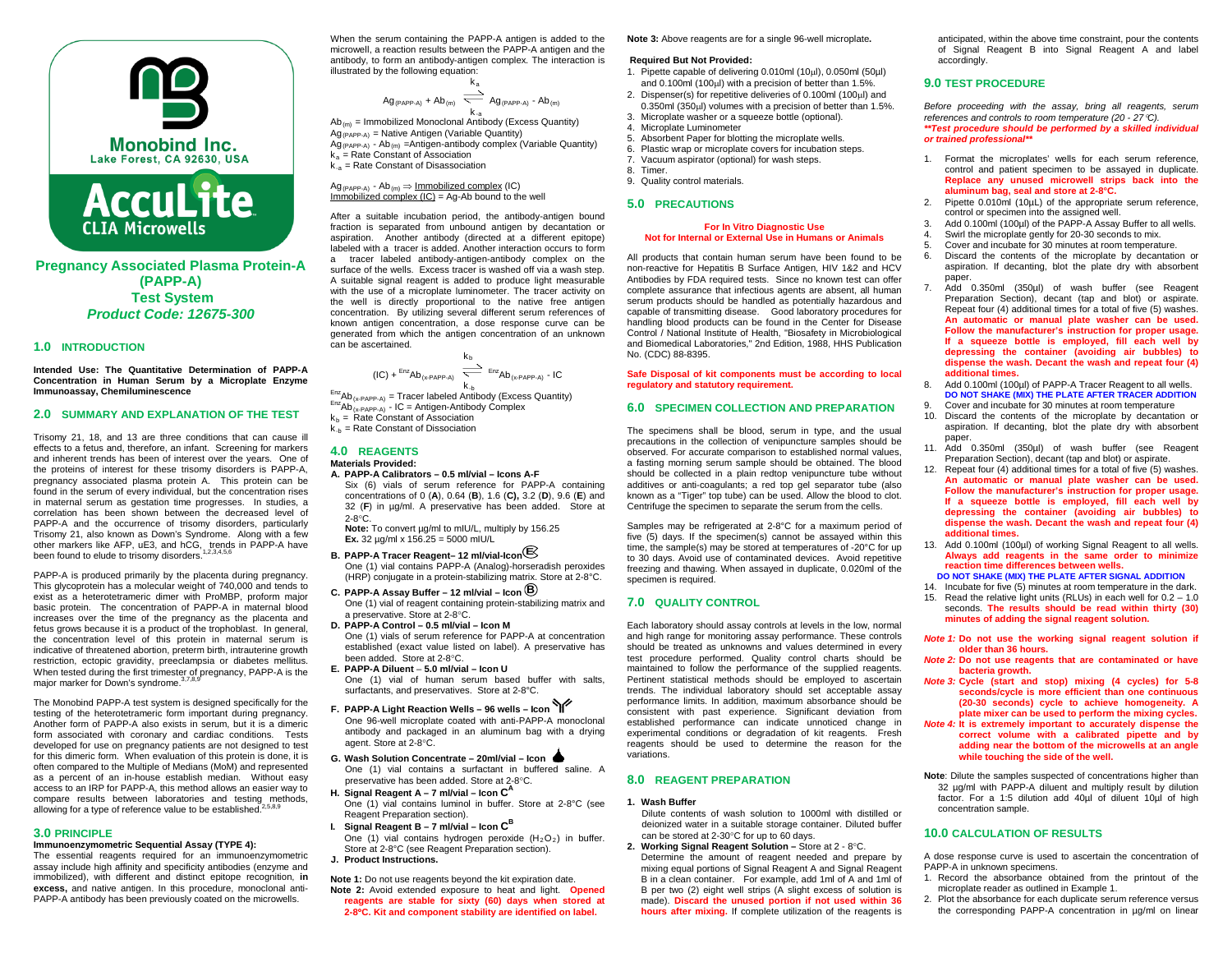

**Pregnancy Associated Plasma Protein-A (PAPP-A) Test System** *Product Code: 12675-300*

**CLIA Microwells** 

### **1.0 INTRODUCTION**

**Intended Use: The Quantitative Determination of PAPP-A Concentration in Human Serum by a Microplate Enzyme Immunoassay, Chemiluminescence**

# **2.0 SUMMARY AND EXPLANATION OF THE TEST**

Trisomy 21, 18, and 13 are three conditions that can cause ill effects to a fetus and, therefore, an infant. Screening for markers and inherent trends has been of interest over the years. One of the proteins of interest for these trisomy disorders is PAPP-A, pregnancy associated plasma protein A. This protein can be found in the serum of every individual, but the concentration rises in maternal serum as gestation time progresses. In studies, a correlation has been shown between the decreased level of PAPP-A and the occurrence of trisomy disorders, particularly Trisomy 21, also known as Down's Syndrome. Along with a few other markers like AFP, uE3, and hCG, trends in PAPP-A have<br>been found to clude to trigomy disorders  $^{1,2,3,4,5,6}$ been found to elude to trisomy disorders.

PAPP-A is produced primarily by the placenta during pregnancy. This glycoprotein has a molecular weight of 740,000 and tends to exist as a heterotetrameric dimer with ProMBP, proform major basic protein. The concentration of PAPP-A in maternal blood increases over the time of the pregnancy as the placenta and fetus grows because it is a product of the trophoblast. In general, the concentration level of this protein in maternal serum is indicative of threatened abortion, preterm birth, intrauterine growth restriction, ectopic gravidity, preeclampsia or diabetes mellitus. When tested during the first trimester of pregnancy, PAPP-A is the major marker for Down's syndrome.<sup>3,7,8,</sup>

The Monobind PAPP-A test system is designed specifically for the testing of the heterotetrameric form important during pregnancy. Another form of PAPP-A also exists in serum, but it is a dimeric form associated with coronary and cardiac conditions. Tests developed for use on pregnancy patients are not designed to test for this dimeric form. When evaluation of this protein is done, it is often compared to the Multiple of Medians (MoM) and represented as a percent of an in-house establish median. Without easy access to an IRP for PAPP-A, this method allows an easier way to compare results between laboratories and testing methods, allowing for a type of reference value to be established.<sup>2</sup>

### **3.0 PRINCIPLE**

#### **Immunoenzymometric Sequential Assay (TYPE 4):**

The essential reagents required for an immunoenzymometric assay include high affinity and specificity antibodies (enzyme and immobilized), with different and distinct epitope recognition, **in excess,** and native antigen. In this procedure, monoclonal anti-PAPP-A antibody has been previously coated on the microwells.

When the serum containing the PAPP-A antigen is added to the microwell, a reaction results between the PAPP-A antigen and the antibody, to form an antibody-antigen complex. The interaction is illustrated by the following equation:

$$
Ag_{(PAPPA)} + Ab_{(m)} \xrightarrow[k_{a}]{k_{a}} Ag_{(PAPPA)} - Ab_{(m)}
$$

 k-a Ab(m) = Immobilized Monoclonal Antibody (Excess Quantity)  $Ag_{(PAPP-A)}$  = Native Antigen (Variable Quantity)  $Ag_{(PAPP-A)}$  - Ab<sub>(m)</sub> =Antigen-antibody complex (Variable Quantity)  $k_a$  = Rate Constant of Association  $k_{a}$  = Rate Constant of Disassociation

 $Ag_{(PAPP-A)}$  - Ab $_{(m)} \Rightarrow$  Immobilized complex (IC) Immobilized complex  $I(C) = Ag-Ab$  bound to the well

After a suitable incubation period, the antibody-antigen bound fraction is separated from unbound antigen by decantation or aspiration. Another antibody (directed at a different epitope) labeled with a tracer is added. Another interaction occurs to form a tracer labeled antibody-antigen-antibody complex on the surface of the wells. Excess tracer is washed off via a wash step. A suitable signal reagent is added to produce light measurable with the use of a microplate luminometer. The tracer activity on the well is directly proportional to the native free antigen concentration. By utilizing several different serum references of known antigen concentration, a dose response curve can be generated from which the antigen concentration of an unknown can be ascertained.

$$
(IC) + {}^{Enz}Ab_{(x \cdot PAPP \cdot A)} \xrightarrow[k \rightarrow K]{}^{E_{12}}Ab_{(x \cdot PAPP \cdot A)} \cdot IC
$$

 $E_{nZ}$ Ab<sub>(x-PAPP-A)</sub> = Tracer labeled Antibody (Excess Quantity)  $E_{nZ}$ Ab<sub>(x-PAPP-A)</sub> - IC = Antigen-Antibody Complex  $k_b$  = Rate Constant of Association  $k_{-b}$  = Rate Constant of Dissociation

# **4.0 REAGENTS**

- **Materials Provided: A. PAPP-A Calibrators – 0.5 ml/vial – Icons A-F**
	- Six (6) vials of serum reference for PAPP-A containing concentrations of 0 (**A**), 0.64 (**B**), 1.6 (**C),** 3.2 (**D**), 9.6 (**E**) and 32 (**F**) in µg/ml. A preservative has been added. Store at  $2-8^\circ$ C.

Note: To convert µg/ml to mIU/L, multiply by 156.25 **Ex.** 32  $\mu$ g/ml x 156.25 = 5000 mlU/L

- **B. PAPP-A Tracer Reagent– 12 ml/vial-Icon E** One (1) vial contains PAPP-A (Analog)-horseradish peroxides (HRP) conjugate in a protein-stabilizing matrix. Store at 2-8°C.
- **C. PAPP-A Assay Buffer – 12 ml/vial – Icon B** One (1) vial of reagent containing protein-stabilizing matrix and a preservative. Store at 2-8°C.
- **D. PAPP-A Control – 0.5 ml/vial – Icon M** One (1) vials of serum reference for PAPP-A at concentration established (exact value listed on label). A preservative has been added. Store at 2-8°C.
- **E. PAPP-A Diluent 5.0 ml/vial – Icon U** One (1) vial of human serum based buffer with salts, surfactants, and preservatives. Store at 2-8°C.
- **F. PAPP-A Light Reaction Wells – 96 wells – Icon**  One 96-well microplate coated with anti-PAPP-A monoclonal antibody and packaged in an aluminum bag with a drying agent. Store at 2-8°C.
- **G. Wash Solution Concentrate – 20ml/vial – Icon** One (1) vial contains a surfactant in buffered saline. A preservative has been added. Store at 2-8°C.
- **H. Signal Reagent A – 7 ml/vial – Icon C<sup>A</sup>** One (1) vial contains luminol in buffer. Store at 2-8°C (see Reagent Preparation section).
- **I.** Signal Reagent  $B 7$  ml/vial Icon  $C^B$ One (1) vial contains hydrogen peroxide  $(H<sub>2</sub>O<sub>2</sub>)$  in buffer. Store at 2-8°C (see Reagent Preparation section).
- **J. Product Instructions.**

**Note 1:** Do not use reagents beyond the kit expiration date. **Note 2:** Avoid extended exposure to heat and light. **Opened reagents are stable for sixty (60) days when stored at 2-8**°**C. Kit and component stability are identified on label.**

**Note 3:** Above reagents are for a single 96-well microplate**.**

#### **Required But Not Provided:**

- 1. Pipette capable of delivering 0.010ml (10µl), 0.050ml (50µl) and 0.100ml (100µl) with a precision of better than 1.5%.
- 2. Dispenser(s) for repetitive deliveries of 0.100ml (100µl) and 0.350ml (350µl) volumes with a precision of better than 1.5%. 3. Microplate washer or a squeeze bottle (optional).
- 4. Microplate Luminometer
- 5. Absorbent Paper for blotting the microplate wells.
- 6. Plastic wrap or microplate covers for incubation steps.
- 7. Vacuum aspirator (optional) for wash steps.
- 8. Timer.
- 9. Quality control materials.

# **5.0 PRECAUTIONS**

#### **For In Vitro Diagnostic Use Not for Internal or External Use in Humans or Animals**

All products that contain human serum have been found to be non-reactive for Hepatitis B Surface Antigen, HIV 1&2 and HCV Antibodies by FDA required tests. Since no known test can offer complete assurance that infectious agents are absent, all human serum products should be handled as potentially hazardous and capable of transmitting disease. Good laboratory procedures for handling blood products can be found in the Center for Disease Control / National Institute of Health, "Biosafety in Microbiological and Biomedical Laboratories," 2nd Edition, 1988, HHS Publication No. (CDC) 88-8395.

#### **Safe Disposal of kit components must be according to local regulatory and statutory requirement.**

# **6.0 SPECIMEN COLLECTION AND PREPARATION**

The specimens shall be blood, serum in type, and the usual precautions in the collection of venipuncture samples should be observed. For accurate comparison to established normal values, a fasting morning serum sample should be obtained. The blood should be collected in a plain redtop venipuncture tube without additives or anti-coagulants; a red top gel separator tube (also known as a "Tiger" top tube) can be used. Allow the blood to clot. Centrifuge the specimen to separate the serum from the cells.

Samples may be refrigerated at 2-8°C for a maximum period of five (5) days. If the specimen(s) cannot be assayed within this time, the sample(s) may be stored at temperatures of -20°C for up to 30 days. Avoid use of contaminated devices. Avoid repetitive freezing and thawing. When assayed in duplicate, 0.020ml of the specimen is required.

### **7.0 QUALITY CONTROL**

Each laboratory should assay controls at levels in the low, normal and high range for monitoring assay performance. These controls should be treated as unknowns and values determined in every test procedure performed. Quality control charts should be maintained to follow the performance of the supplied reagents. Pertinent statistical methods should be employed to ascertain trends. The individual laboratory should set acceptable assay performance limits. In addition, maximum absorbance should be consistent with past experience. Significant deviation from established performance can indicate unnoticed change in experimental conditions or degradation of kit reagents. Fresh reagents should be used to determine the reason for the variations.

### **8.0 REAGENT PREPARATION**

#### **1. Wash Buffer**

Dilute contents of wash solution to 1000ml with distilled or deionized water in a suitable storage container. Diluted buffer can be stored at 2-30°C for up to 60 days.

**2. Working Signal Reagent Solution –** Store at 2 - 8°C. Determine the amount of reagent needed and prepare by mixing equal portions of Signal Reagent A and Signal Reagent B in a clean container. For example, add 1ml of A and 1ml of B per two (2) eight well strips (A slight excess of solution is made). **Discard the unused portion if not used within 36 hours after mixing.** If complete utilization of the reagents is anticipated, within the above time constraint, pour the contents of Signal Reagent B into Signal Reagent A and label accordingly.

## **9.0 TEST PROCEDURE**

*Before proceeding with the assay, bring all reagents, serum references and controls to room temperature (20 - 27*°*C). \*\*Test procedure should be performed by a skilled individual or trained professional\*\**

- 1. Format the microplates' wells for each serum reference, control and patient specimen to be assayed in duplicate. **Replace any unused microwell strips back into the aluminum bag, seal and store at 2-8°C.**
- 2. Pipette 0.010ml (10µL) of the appropriate serum reference, control or specimen into the assigned well.
- 3. Add 0.100ml (100µl) of the PAPP-A Assay Buffer to all wells.<br>4. Swirl the microplate gently for 20-30 seconds to mix.
- Swirl the microplate gently for 20-30 seconds to mix.
- 5. Cover and incubate for 30 minutes at room temperature.
- 6. Discard the contents of the microplate by decantation or aspiration. If decanting, blot the plate dry with absorbent paper.
- 7. Add 0.350ml (350µl) of wash buffer (see Reagent Preparation Section), decant (tap and blot) or aspirate. Repeat four (4) additional times for a total of five (5) washes. **An automatic or manual plate washer can be used. Follow the manufacturer's instruction for proper usage. If a squeeze bottle is employed, fill each well by depressing the container (avoiding air bubbles) to dispense the wash. Decant the wash and repeat four (4) additional times.**
- 8. Add 0.100ml (100µl) of PAPP-A Tracer Reagent to all wells. **DO NOT SHAKE (MIX) THE PLATE AFTER TRACER ADDITION** 9. Cover and incubate for 30 minutes at room temperature
- 10. Discard the contents of the microplate by decantation or aspiration. If decanting, blot the plate dry with absorbent paper.
- 11. Add 0.350ml (350µl) of wash buffer (see Reagent Preparation Section), decant (tap and blot) or aspirate.
- 12. Repeat four (4) additional times for a total of five (5) washes. **An automatic or manual plate washer can be used. Follow the manufacturer's instruction for proper usage. If a squeeze bottle is employed, fill each well by depressing the container (avoiding air bubbles) to dispense the wash. Decant the wash and repeat four (4) additional times.**
- 13. Add 0.100ml (100µl) of working Signal Reagent to all wells. **Always add reagents in the same order to minimize reaction time differences between wells. DO NOT SHAKE (MIX) THE PLATE AFTER SIGNAL ADDITION**
- 14. Incubate for five (5) minutes at room temperature in the dark.
- 15. Read the relative light units (RLUs) in each well for 0.2 1.0 seconds. **The results should be read within thirty (30) minutes of adding the signal reagent solution.**
- *Note 1:* **Do not use the working signal reagent solution if older than 36 hours.**
- *Note 2:* **Do not use reagents that are contaminated or have bacteria growth.**
- *Note 3:* **Cycle (start and stop) mixing (4 cycles) for 5-8 seconds/cycle is more efficient than one continuous (20-30 seconds) cycle to achieve homogeneity. A plate mixer can be used to perform the mixing cycles.**
- *Note 4:* **It is extremely important to accurately dispense the correct volume with a calibrated pipette and by adding near the bottom of the microwells at an angle while touching the side of the well.**
- **Note**: Dilute the samples suspected of concentrations higher than 32 µg/ml with PAPP-A diluent and multiply result by dilution factor. For a 1:5 dilution add 40µl of diluent 10µl of high concentration sample.

### **10.0 CALCULATION OF RESULTS**

A dose response curve is used to ascertain the concentration of PAPP-A in unknown specimens.

- 1. Record the absorbance obtained from the printout of the microplate reader as outlined in Example 1.
- 2. Plot the absorbance for each duplicate serum reference versus the corresponding PAPP-A concentration in µg/ml on linear